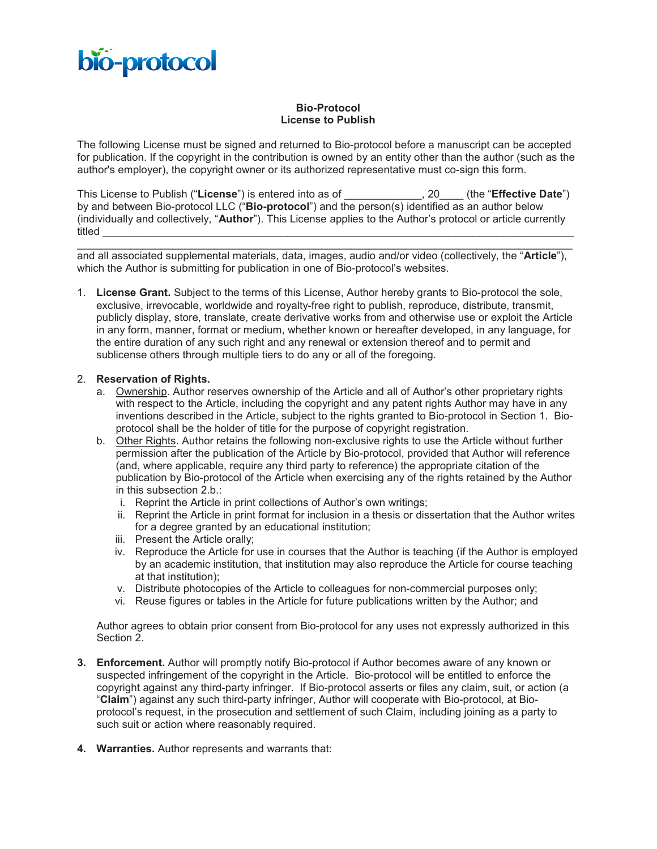

## **Bio-Protocol License to Publish**

The following License must be signed and returned to Bio-protocol before a manuscript can be accepted for publication. If the copyright in the contribution is owned by an entity other than the author (such as the author's employer), the copyright owner or its authorized representative must co-sign this form.

This License to Publish ("**License**") is entered into as of \_\_\_\_\_\_\_\_\_\_\_\_\_, 20\_\_\_\_ (the "**Effective Date**") by and between Bio-protocol LLC ("**Bio-protocol**") and the person(s) identified as an author below (individually and collectively, "**Author**"). This License applies to the Author's protocol or article currently titled \_\_\_\_\_\_\_\_\_\_\_\_\_\_\_\_\_\_\_\_\_\_\_\_\_\_\_\_\_\_\_\_\_\_\_\_\_\_\_\_\_\_\_\_\_\_\_\_\_\_\_\_\_\_\_\_\_\_\_\_\_\_\_\_\_\_\_\_\_\_\_\_\_\_\_\_\_\_\_

\_\_\_\_\_\_\_\_\_\_\_\_\_\_\_\_\_\_\_\_\_\_\_\_\_\_\_\_\_\_\_\_\_\_\_\_\_\_\_\_\_\_\_\_\_\_\_\_\_\_\_\_\_\_\_\_\_\_\_\_\_\_\_\_\_\_\_\_\_\_\_\_\_\_\_\_\_\_\_\_\_\_\_ and all associated supplemental materials, data, images, audio and/or video (collectively, the "**Article**"), which the Author is submitting for publication in one of Bio-protocol's websites.

1. **License Grant.** Subject to the terms of this License, Author hereby grants to Bio-protocol the sole, exclusive, irrevocable, worldwide and royalty-free right to publish, reproduce, distribute, transmit, publicly display, store, translate, create derivative works from and otherwise use or exploit the Article in any form, manner, format or medium, whether known or hereafter developed, in any language, for the entire duration of any such right and any renewal or extension thereof and to permit and sublicense others through multiple tiers to do any or all of the foregoing.

## 2. **Reservation of Rights.**

- a. Ownership. Author reserves ownership of the Article and all of Author's other proprietary rights with respect to the Article, including the copyright and any patent rights Author may have in any inventions described in the Article, subject to the rights granted to Bio-protocol in Section 1. Bioprotocol shall be the holder of title for the purpose of copyright registration.
- b. Other Rights. Author retains the following non-exclusive rights to use the Article without further permission after the publication of the Article by Bio-protocol, provided that Author will reference (and, where applicable, require any third party to reference) the appropriate citation of the publication by Bio-protocol of the Article when exercising any of the rights retained by the Author in this subsection 2.b.:
	- i. Reprint the Article in print collections of Author's own writings;
	- ii. Reprint the Article in print format for inclusion in a thesis or dissertation that the Author writes for a degree granted by an educational institution;
	- iii. Present the Article orally;
	- iv. Reproduce the Article for use in courses that the Author is teaching (if the Author is employed by an academic institution, that institution may also reproduce the Article for course teaching at that institution);
	- v. Distribute photocopies of the Article to colleagues for non-commercial purposes only;
	- vi. Reuse figures or tables in the Article for future publications written by the Author; and

Author agrees to obtain prior consent from Bio-protocol for any uses not expressly authorized in this Section 2.

- **3. Enforcement.** Author will promptly notify Bio-protocol if Author becomes aware of any known or suspected infringement of the copyright in the Article. Bio-protocol will be entitled to enforce the copyright against any third-party infringer. If Bio-protocol asserts or files any claim, suit, or action (a "**Claim**") against any such third-party infringer, Author will cooperate with Bio-protocol, at Bioprotocol's request, in the prosecution and settlement of such Claim, including joining as a party to such suit or action where reasonably required.
- **4. Warranties.** Author represents and warrants that: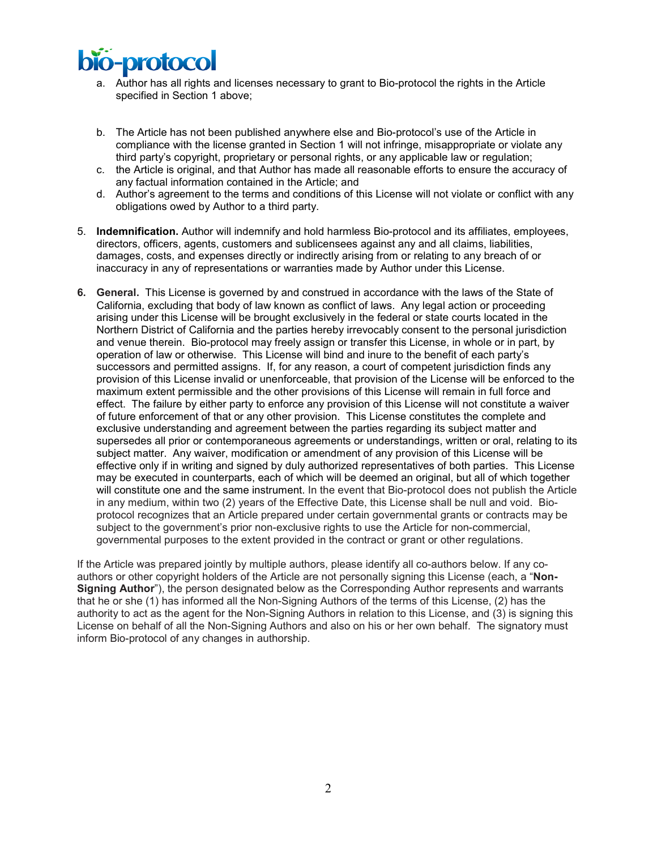

- a. Author has all rights and licenses necessary to grant to Bio-protocol the rights in the Article specified in Section 1 above;
- b. The Article has not been published anywhere else and Bio-protocol's use of the Article in compliance with the license granted in Section 1 will not infringe, misappropriate or violate any third party's copyright, proprietary or personal rights, or any applicable law or regulation;
- c. the Article is original, and that Author has made all reasonable efforts to ensure the accuracy of any factual information contained in the Article; and
- d. Author's agreement to the terms and conditions of this License will not violate or conflict with any obligations owed by Author to a third party.
- 5. **Indemnification.** Author will indemnify and hold harmless Bio-protocol and its affiliates, employees, directors, officers, agents, customers and sublicensees against any and all claims, liabilities, damages, costs, and expenses directly or indirectly arising from or relating to any breach of or inaccuracy in any of representations or warranties made by Author under this License.
- **6. General.** This License is governed by and construed in accordance with the laws of the State of California, excluding that body of law known as conflict of laws. Any legal action or proceeding arising under this License will be brought exclusively in the federal or state courts located in the Northern District of California and the parties hereby irrevocably consent to the personal jurisdiction and venue therein. Bio-protocol may freely assign or transfer this License, in whole or in part, by operation of law or otherwise. This License will bind and inure to the benefit of each party's successors and permitted assigns. If, for any reason, a court of competent jurisdiction finds any provision of this License invalid or unenforceable, that provision of the License will be enforced to the maximum extent permissible and the other provisions of this License will remain in full force and effect. The failure by either party to enforce any provision of this License will not constitute a waiver of future enforcement of that or any other provision. This License constitutes the complete and exclusive understanding and agreement between the parties regarding its subject matter and supersedes all prior or contemporaneous agreements or understandings, written or oral, relating to its subject matter. Any waiver, modification or amendment of any provision of this License will be effective only if in writing and signed by duly authorized representatives of both parties. This License may be executed in counterparts, each of which will be deemed an original, but all of which together will constitute one and the same instrument. In the event that Bio-protocol does not publish the Article in any medium, within two (2) years of the Effective Date, this License shall be null and void. Bioprotocol recognizes that an Article prepared under certain governmental grants or contracts may be subject to the government's prior non-exclusive rights to use the Article for non-commercial, governmental purposes to the extent provided in the contract or grant or other regulations.

If the Article was prepared jointly by multiple authors, please identify all co-authors below. If any coauthors or other copyright holders of the Article are not personally signing this License (each, a "**Non-Signing Author**"), the person designated below as the Corresponding Author represents and warrants that he or she (1) has informed all the Non-Signing Authors of the terms of this License, (2) has the authority to act as the agent for the Non-Signing Authors in relation to this License, and (3) is signing this License on behalf of all the Non-Signing Authors and also on his or her own behalf. The signatory must inform Bio-protocol of any changes in authorship.